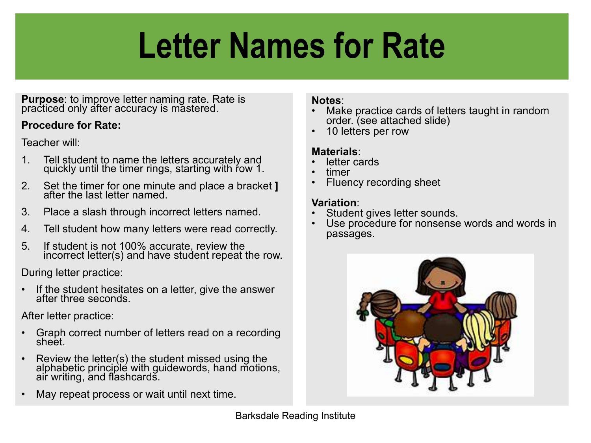# **Letter Names for Rate**

**Purpose**: to improve letter naming rate. Rate is practiced only after accuracy is mastered.

### **Procedure for Rate:**

Teacher will:

- 1. Tell student to name the letters accurately and quickly until the timer rings, starting with row 1.
- 2. Set the timer for one minute and place a bracket **]** after the last letter named.
- 3. Place a slash through incorrect letters named.
- 4. Tell student how many letters were read correctly.
- 5. If student is not 100% accurate, review the incorrect letter(s) and have student repeat the row.

During letter practice:

If the student hesitates on a letter, give the answer<br>after three seconds.

After letter practice:

- Graph correct number of letters read on a recording sheet.
- Review the letter(s) the student missed using the alphabetic principle with guidewords, hand motions, air writing, and flashcards.
- May repeat process or wait until next time.

- **Notes:**<br>• Make practice cards of letters taught in random order. (see attached slide) • 10 letters per row
- 

- 
- 
- **Materials**:<br>• letter cards<br>• timer<br>• Fluency recording sheet

- 
- **Variation**:<br>• Student gives letter sounds.<br>• Use procedure for nonsense words and words in passages.